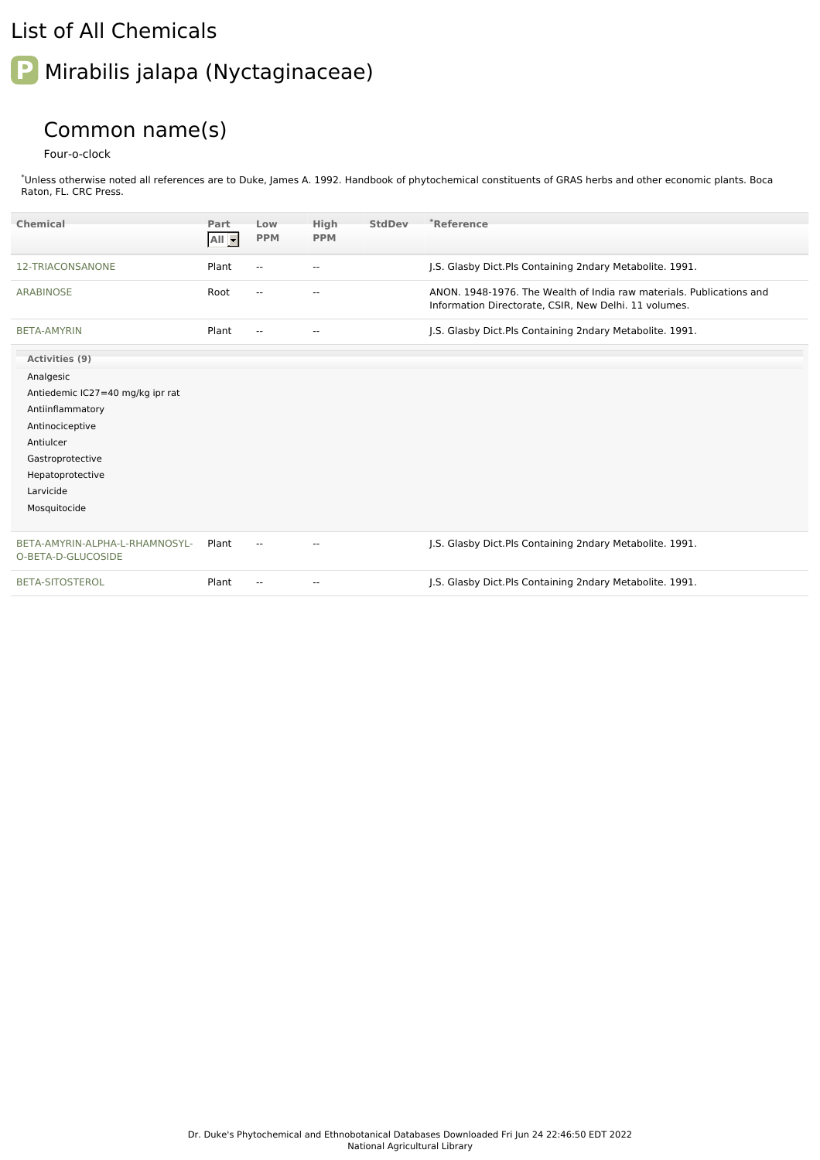## List of All Chemicals

## **P** Mirabilis jalapa (Nyctaginaceae)

## Common name(s)

Four-o-clock

\*Unless otherwise noted all references are to Duke, James A. 1992. Handbook of phytochemical constituents of GRAS herbs and other economic plants. Boca Raton, FL. CRC Press.

| Chemical                                                                                                                                                                                 | Part<br>$All -$ | Low<br><b>PPM</b>        | High<br><b>PPM</b>       | <b>StdDev</b> | *Reference                                                                                                                    |
|------------------------------------------------------------------------------------------------------------------------------------------------------------------------------------------|-----------------|--------------------------|--------------------------|---------------|-------------------------------------------------------------------------------------------------------------------------------|
| 12-TRIACONSANONE                                                                                                                                                                         | Plant           | $\sim$                   | $\overline{\phantom{a}}$ |               | J.S. Glasby Dict.Pls Containing 2ndary Metabolite. 1991.                                                                      |
| <b>ARABINOSE</b>                                                                                                                                                                         | Root            | $\overline{\phantom{a}}$ | --                       |               | ANON, 1948-1976. The Wealth of India raw materials. Publications and<br>Information Directorate, CSIR, New Delhi. 11 volumes. |
| <b>BETA-AMYRIN</b>                                                                                                                                                                       | Plant           | $\overline{\phantom{a}}$ | --                       |               | J.S. Glasby Dict.Pls Containing 2ndary Metabolite. 1991.                                                                      |
| Activities (9)<br>Analgesic<br>Antiedemic IC27=40 mg/kg ipr rat<br>Antiinflammatory<br>Antinociceptive<br>Antiulcer<br>Gastroprotective<br>Hepatoprotective<br>Larvicide<br>Mosquitocide |                 |                          |                          |               |                                                                                                                               |
| BETA-AMYRIN-ALPHA-L-RHAMNOSYL-<br>O-BETA-D-GLUCOSIDE                                                                                                                                     | Plant           | $\sim$ $\sim$            | $\overline{a}$           |               | J.S. Glasby Dict. Pls Containing 2ndary Metabolite. 1991.                                                                     |
| <b>BETA-SITOSTEROL</b>                                                                                                                                                                   | Plant           | $-$                      | ۰.                       |               | J.S. Glasby Dict.Pls Containing 2ndary Metabolite. 1991.                                                                      |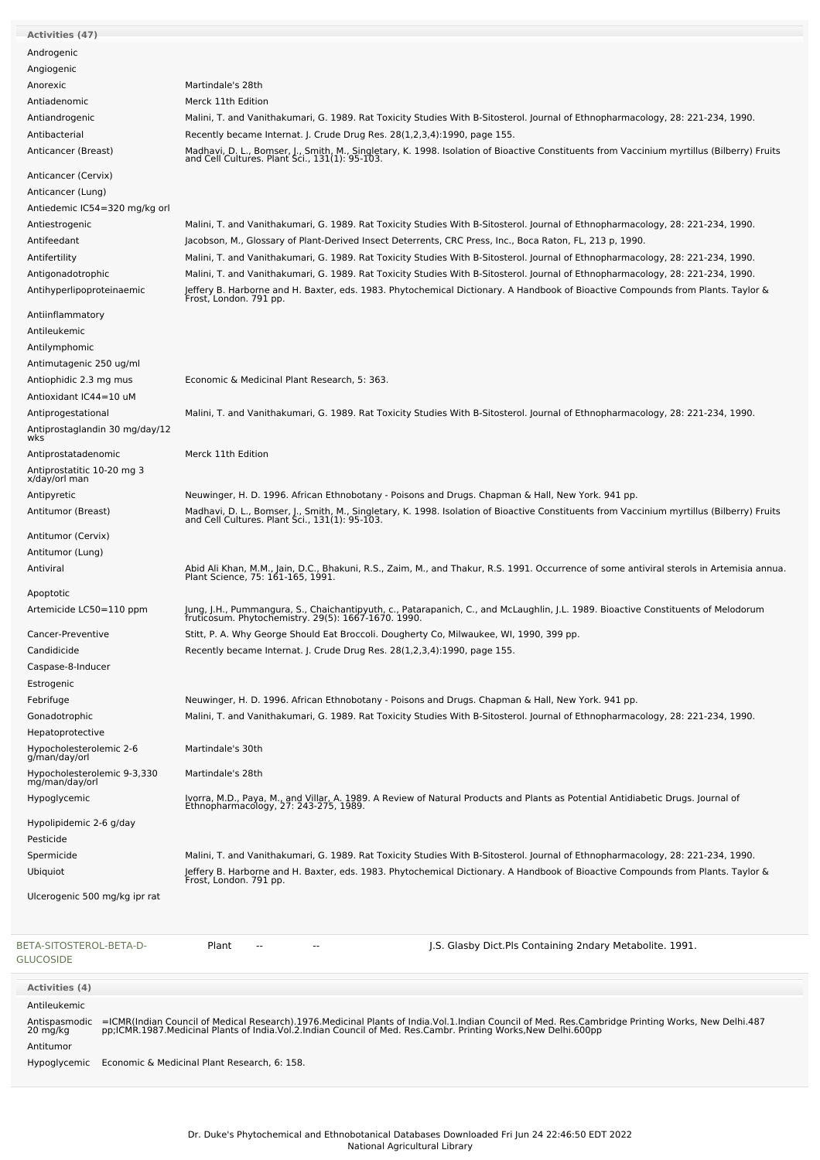| <b>Activities (47)</b>                                                                                                                                                                                                                             |                                                                                                                                                                                           |  |  |  |  |  |
|----------------------------------------------------------------------------------------------------------------------------------------------------------------------------------------------------------------------------------------------------|-------------------------------------------------------------------------------------------------------------------------------------------------------------------------------------------|--|--|--|--|--|
| Androgenic                                                                                                                                                                                                                                         |                                                                                                                                                                                           |  |  |  |  |  |
| Angiogenic                                                                                                                                                                                                                                         |                                                                                                                                                                                           |  |  |  |  |  |
| Anorexic                                                                                                                                                                                                                                           | Martindale's 28th                                                                                                                                                                         |  |  |  |  |  |
| Antiadenomic                                                                                                                                                                                                                                       | Merck 11th Edition                                                                                                                                                                        |  |  |  |  |  |
| Antiandrogenic                                                                                                                                                                                                                                     | Malini, T. and Vanithakumari, G. 1989. Rat Toxicity Studies With B-Sitosterol. Journal of Ethnopharmacology, 28: 221-234, 1990.                                                           |  |  |  |  |  |
| Antibacterial                                                                                                                                                                                                                                      | Recently became Internat. J. Crude Drug Res. 28(1,2,3,4):1990, page 155.                                                                                                                  |  |  |  |  |  |
| Anticancer (Breast)                                                                                                                                                                                                                                | Madhavi, D. L., Bomser, J., Smith, M., Singletary, K. 1998. Isolation of Bioactive Constituents from Vaccinium myrtillus (Bilberry) Fruits and Cell Cultures. Plant Sci., 131(1): 95-103. |  |  |  |  |  |
| Anticancer (Cervix)                                                                                                                                                                                                                                |                                                                                                                                                                                           |  |  |  |  |  |
| Anticancer (Lung)                                                                                                                                                                                                                                  |                                                                                                                                                                                           |  |  |  |  |  |
| Antiedemic IC54=320 mg/kg orl                                                                                                                                                                                                                      |                                                                                                                                                                                           |  |  |  |  |  |
| Antiestrogenic                                                                                                                                                                                                                                     | Malini, T. and Vanithakumari, G. 1989. Rat Toxicity Studies With B-Sitosterol. Journal of Ethnopharmacology, 28: 221-234, 1990.                                                           |  |  |  |  |  |
| Antifeedant                                                                                                                                                                                                                                        | Jacobson, M., Glossary of Plant-Derived Insect Deterrents, CRC Press, Inc., Boca Raton, FL, 213 p, 1990.                                                                                  |  |  |  |  |  |
| Antifertility                                                                                                                                                                                                                                      | Malini, T. and Vanithakumari, G. 1989. Rat Toxicity Studies With B-Sitosterol. Journal of Ethnopharmacology, 28: 221-234, 1990.                                                           |  |  |  |  |  |
| Antigonadotrophic<br>Antihyperlipoproteinaemic                                                                                                                                                                                                     | Malini, T. and Vanithakumari, G. 1989. Rat Toxicity Studies With B-Sitosterol. Journal of Ethnopharmacology, 28: 221-234, 1990.                                                           |  |  |  |  |  |
|                                                                                                                                                                                                                                                    | Jeffery B. Harborne and H. Baxter, eds. 1983. Phytochemical Dictionary. A Handbook of Bioactive Compounds from Plants. Taylor &<br>Frost, London. 791 pp.                                 |  |  |  |  |  |
| Antiinflammatory                                                                                                                                                                                                                                   |                                                                                                                                                                                           |  |  |  |  |  |
| Antileukemic                                                                                                                                                                                                                                       |                                                                                                                                                                                           |  |  |  |  |  |
| Antilymphomic                                                                                                                                                                                                                                      |                                                                                                                                                                                           |  |  |  |  |  |
| Antimutagenic 250 ug/ml                                                                                                                                                                                                                            |                                                                                                                                                                                           |  |  |  |  |  |
| Antiophidic 2.3 mg mus                                                                                                                                                                                                                             | Economic & Medicinal Plant Research, 5: 363.                                                                                                                                              |  |  |  |  |  |
| Antioxidant IC44=10 uM                                                                                                                                                                                                                             |                                                                                                                                                                                           |  |  |  |  |  |
| Antiprogestational                                                                                                                                                                                                                                 | Malini, T. and Vanithakumari, G. 1989. Rat Toxicity Studies With B-Sitosterol. Journal of Ethnopharmacology, 28: 221-234, 1990.                                                           |  |  |  |  |  |
| Antiprostaglandin 30 mg/day/12<br>wks                                                                                                                                                                                                              |                                                                                                                                                                                           |  |  |  |  |  |
| Antiprostatadenomic                                                                                                                                                                                                                                | Merck 11th Edition                                                                                                                                                                        |  |  |  |  |  |
| Antiprostatitic 10-20 mg 3                                                                                                                                                                                                                         |                                                                                                                                                                                           |  |  |  |  |  |
| x/day/orl man                                                                                                                                                                                                                                      |                                                                                                                                                                                           |  |  |  |  |  |
| Antipyretic                                                                                                                                                                                                                                        | Neuwinger, H. D. 1996. African Ethnobotany - Poisons and Drugs. Chapman & Hall, New York. 941 pp.                                                                                         |  |  |  |  |  |
| Antitumor (Breast)                                                                                                                                                                                                                                 | Madhavi, D. L., Bomser, J., Smith, M., Singletary, K. 1998. Isolation of Bioactive Constituents from Vaccinium myrtillus (Bilberry) Fruits and Cell Cultures. Plant Sci., 131(1): 95-103. |  |  |  |  |  |
| Antitumor (Cervix)                                                                                                                                                                                                                                 |                                                                                                                                                                                           |  |  |  |  |  |
| Antitumor (Lung)                                                                                                                                                                                                                                   |                                                                                                                                                                                           |  |  |  |  |  |
| Antiviral                                                                                                                                                                                                                                          | Abid Ali Khan, M.M., Jain, D.C., Bhakuni, R.S., Zaim, M., and Thakur, R.S. 1991. Occurrence of some antiviral sterols in Artemisia annua.<br>Plant Science, 75: 161-165, 1991.            |  |  |  |  |  |
| Apoptotic                                                                                                                                                                                                                                          |                                                                                                                                                                                           |  |  |  |  |  |
| Artemicide LC50=110 ppm                                                                                                                                                                                                                            | Jung, J.H., Pummangura, S., Chaichantipyuth, c., Patarapanich, C., and McLaughlin, J.L. 1989. Bioactive Constituents of Melodorum<br>fruticosum. Phytochemistry. 29(5): 1667-1670. 1990.  |  |  |  |  |  |
| Cancer-Preventive                                                                                                                                                                                                                                  | Stitt, P. A. Why George Should Eat Broccoli. Dougherty Co, Milwaukee, WI, 1990, 399 pp.                                                                                                   |  |  |  |  |  |
| Candidicide                                                                                                                                                                                                                                        | Recently became Internat. J. Crude Drug Res. 28(1,2,3,4):1990, page 155.                                                                                                                  |  |  |  |  |  |
| Caspase-8-Inducer                                                                                                                                                                                                                                  |                                                                                                                                                                                           |  |  |  |  |  |
| Estrogenic                                                                                                                                                                                                                                         |                                                                                                                                                                                           |  |  |  |  |  |
| Febrifuge                                                                                                                                                                                                                                          | Neuwinger, H. D. 1996. African Ethnobotany - Poisons and Drugs. Chapman & Hall, New York. 941 pp.                                                                                         |  |  |  |  |  |
| Gonadotrophic                                                                                                                                                                                                                                      | Malini, T. and Vanithakumari, G. 1989. Rat Toxicity Studies With B-Sitosterol. Journal of Ethnopharmacology, 28: 221-234, 1990.                                                           |  |  |  |  |  |
| Hepatoprotective                                                                                                                                                                                                                                   |                                                                                                                                                                                           |  |  |  |  |  |
| Hypocholesterolemic 2-6<br>g/man/day/orl                                                                                                                                                                                                           | Martindale's 30th                                                                                                                                                                         |  |  |  |  |  |
| Hypocholesterolemic 9-3,330                                                                                                                                                                                                                        | Martindale's 28th                                                                                                                                                                         |  |  |  |  |  |
| mg/man/day/orl                                                                                                                                                                                                                                     | Ivorra, M.D., Paya, M., and Villar, A. 1989. A Review of Natural Products and Plants as Potential Antidiabetic Drugs. Journal of                                                          |  |  |  |  |  |
| Hypoglycemic                                                                                                                                                                                                                                       | Ethnopharmacology, 27: 243-275, 1989.                                                                                                                                                     |  |  |  |  |  |
| Hypolipidemic 2-6 g/day                                                                                                                                                                                                                            |                                                                                                                                                                                           |  |  |  |  |  |
| Pesticide                                                                                                                                                                                                                                          |                                                                                                                                                                                           |  |  |  |  |  |
| Spermicide                                                                                                                                                                                                                                         | Malini, T. and Vanithakumari, G. 1989. Rat Toxicity Studies With B-Sitosterol. Journal of Ethnopharmacology, 28: 221-234, 1990.                                                           |  |  |  |  |  |
| Ubiquiot                                                                                                                                                                                                                                           | Jeffery B. Harborne and H. Baxter, eds. 1983. Phytochemical Dictionary. A Handbook of Bioactive Compounds from Plants. Taylor &<br>Frost, London. 791 pp.                                 |  |  |  |  |  |
| Ulcerogenic 500 mg/kg ipr rat                                                                                                                                                                                                                      |                                                                                                                                                                                           |  |  |  |  |  |
|                                                                                                                                                                                                                                                    |                                                                                                                                                                                           |  |  |  |  |  |
| BETA-SITOSTEROL-BETA-D-<br><b>GLUCOSIDE</b>                                                                                                                                                                                                        | Plant<br>J.S. Glasby Dict.Pls Containing 2ndary Metabolite. 1991.                                                                                                                         |  |  |  |  |  |
| <b>Activities (4)</b>                                                                                                                                                                                                                              |                                                                                                                                                                                           |  |  |  |  |  |
| Antileukemic                                                                                                                                                                                                                                       |                                                                                                                                                                                           |  |  |  |  |  |
| =ICMR(Indian Council of Medical Research).1976.Medicinal Plants of India.Vol.1.Indian Council of Med. Res.Cambridge Printing Works, New Delhi.487<br>pp;ICMR.1987.Medicinal Plants of India.Vol.2.Indian Council of Med. Res.Camb<br>Antispasmodic |                                                                                                                                                                                           |  |  |  |  |  |
| 20 mg/kg                                                                                                                                                                                                                                           |                                                                                                                                                                                           |  |  |  |  |  |
| Antitumor                                                                                                                                                                                                                                          |                                                                                                                                                                                           |  |  |  |  |  |
| Hypoglycemic                                                                                                                                                                                                                                       | Economic & Medicinal Plant Research, 6: 158.                                                                                                                                              |  |  |  |  |  |
|                                                                                                                                                                                                                                                    |                                                                                                                                                                                           |  |  |  |  |  |